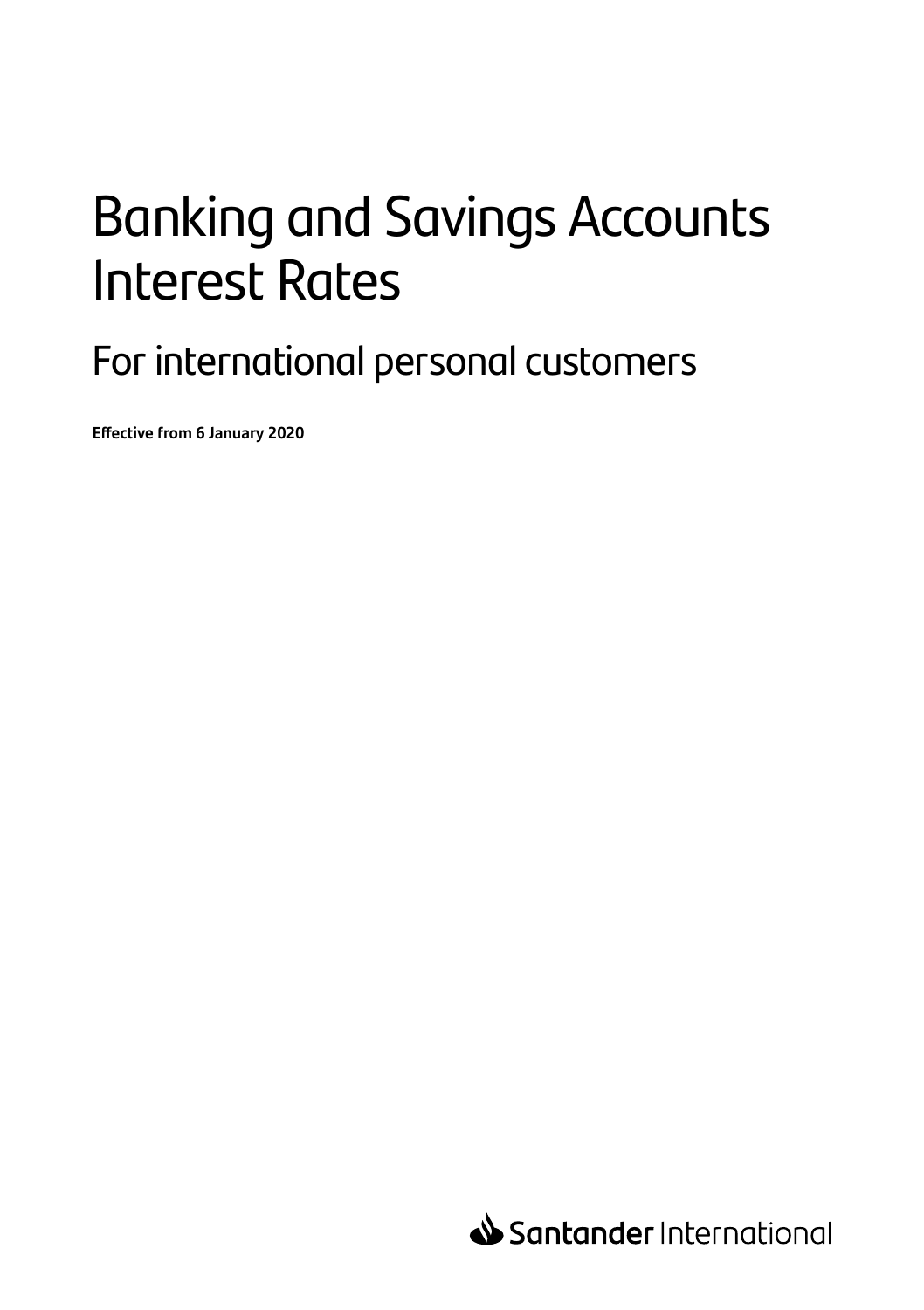# Banking and Savings Accounts Interest Rates

For international personal customers

**Effective from 6 January 2020**

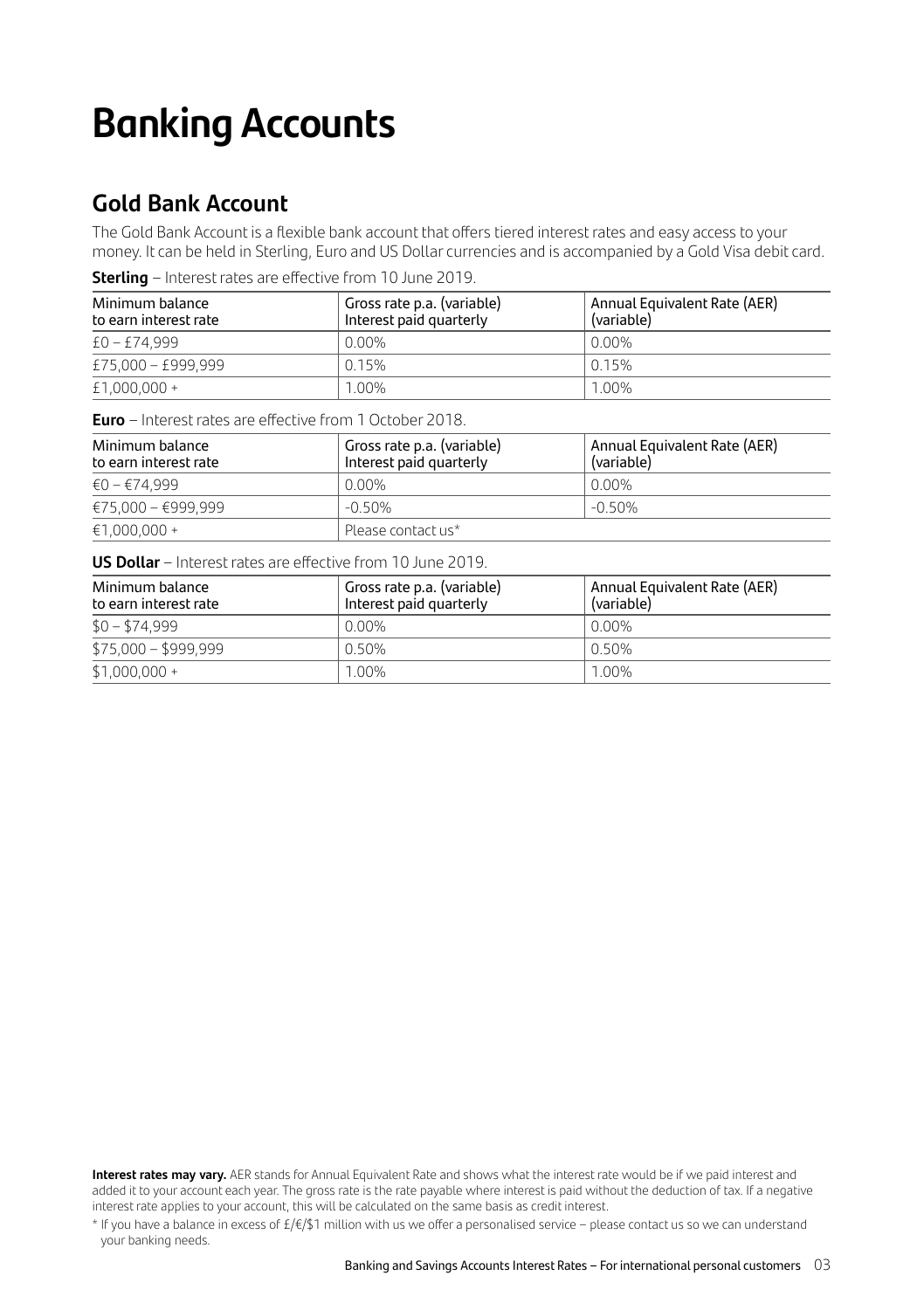## **Banking Accounts**

## **Gold Bank Account**

The Gold Bank Account is a flexible bank account that offers tiered interest rates and easy access to your money. It can be held in Sterling, Euro and US Dollar currencies and is accompanied by a Gold Visa debit card.

| Minimum balance<br>to earn interest rate | Gross rate p.a. (variable)<br>Interest paid quarterly | Annual Equivalent Rate (AER)<br>(variable) |
|------------------------------------------|-------------------------------------------------------|--------------------------------------------|
| $£0 - £74.999$                           | 0.00%                                                 | 0.00%                                      |
| £75,000 - £999,999                       | 0.15%                                                 | l 0 15%                                    |
| $£1,000,000+$                            | 1.00%                                                 | $1.00\%$                                   |

**Sterling** – Interest rates are effective from 10 June 2019.

**Euro** – Interest rates are effective from 1 October 2018.

| Minimum balance<br>to earn interest rate | Gross rate p.a. (variable)<br>Interest paid quarterly | Annual Equivalent Rate (AER)<br>(variable) |
|------------------------------------------|-------------------------------------------------------|--------------------------------------------|
| €0 – €74.999                             | $0.00\%$                                              | $0.00\%$                                   |
| €75,000 - €999,999                       | $-0.50\%$                                             | $-0.50\%$                                  |
| $€1.000.000 +$                           | Please contact us*                                    |                                            |

**US Dollar** – Interest rates are effective from 10 June 2019.

| Minimum balance<br>to earn interest rate | Gross rate p.a. (variable)<br>Interest paid quarterly | Annual Equivalent Rate (AER)<br>(variable) |
|------------------------------------------|-------------------------------------------------------|--------------------------------------------|
| $$0 - $74,999$                           | 0.00%                                                 | 0.00%                                      |
| $$75,000 - $999,999$                     | 0.50%                                                 | $0.50\%$                                   |
| $$1,000,000 +$                           | 1.00%                                                 | 1.00%                                      |

**Interest rates may vary.** AER stands for Annual Equivalent Rate and shows what the interest rate would be if we paid interest and added it to your account each year. The gross rate is the rate payable where interest is paid without the deduction of tax. If a negative interest rate applies to your account, this will be calculated on the same basis as credit interest.

\* If you have a balance in excess of £/€/\$1 million with us we offer a personalised service – please contact us so we can understand your banking needs.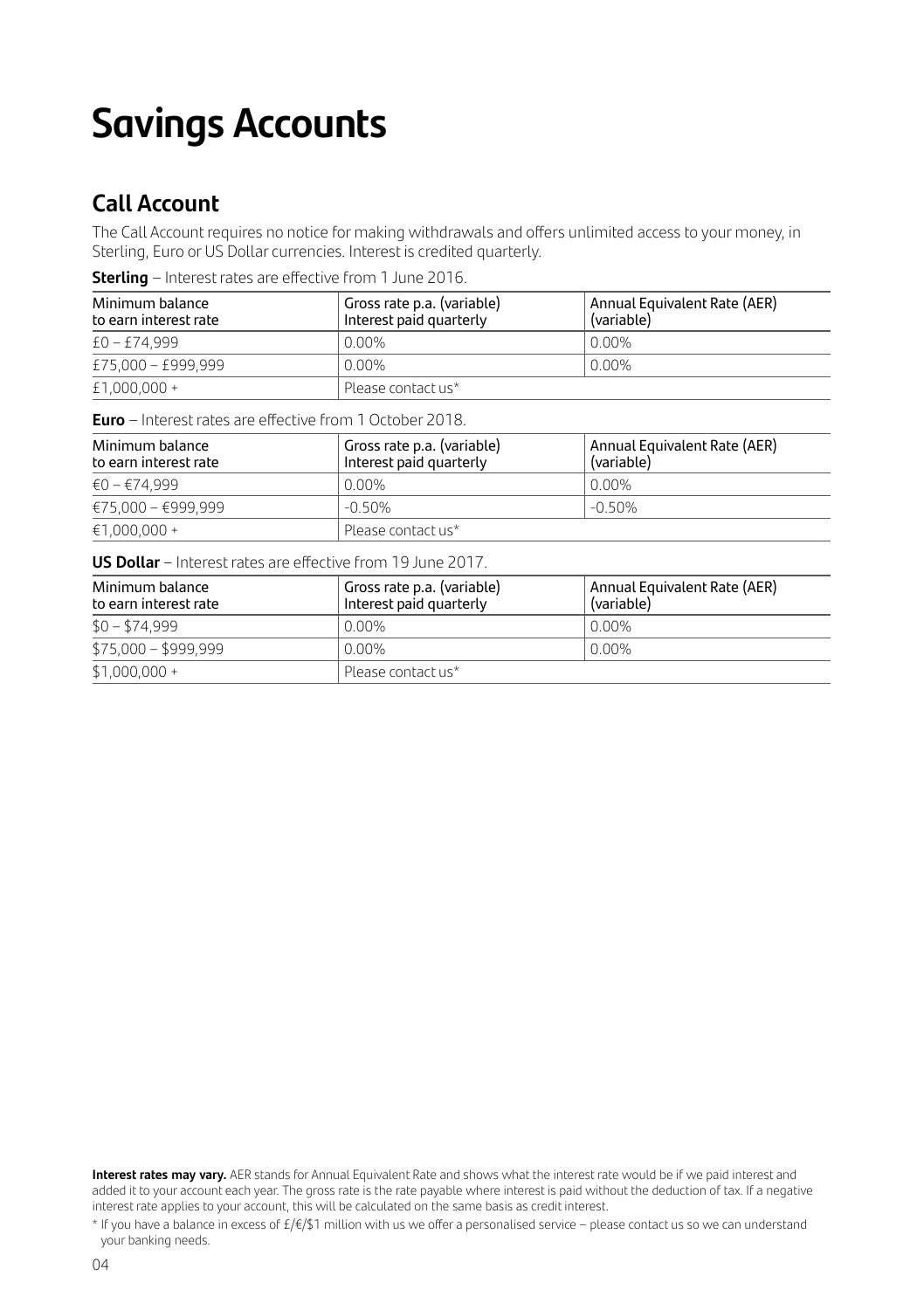## **Savings Accounts**

## **Call Account**

The Call Account requires no notice for making withdrawals and offers unlimited access to your money, in Sterling, Euro or US Dollar currencies. Interest is credited quarterly.

**Sterling** – Interest rates are effective from 1 June 2016.

| Minimum balance<br>to earn interest rate | Gross rate p.a. (variable)<br>Interest paid quarterly | Annual Equivalent Rate (AER)<br>(variable) |
|------------------------------------------|-------------------------------------------------------|--------------------------------------------|
| $£0 - £74.999$                           | $0.00\%$                                              | 0.00%                                      |
| £75,000 - £999,999                       | $0.00\%$                                              | 0.00%                                      |
| $£1,000,000+$                            | Please contact us*                                    |                                            |

**Euro** – Interest rates are effective from 1 October 2018.

| Minimum balance<br>to earn interest rate | Gross rate p.a. (variable)<br>Interest paid quarterly | Annual Equivalent Rate (AER)<br>(variable) |
|------------------------------------------|-------------------------------------------------------|--------------------------------------------|
| €0 – €74.999                             | $0.00\%$                                              | 0.00%                                      |
| €75,000 - €999,999                       | $-0.50\%$                                             | $-0.50\%$                                  |
| $€1.000.000 +$                           | Please contact us*                                    |                                            |

**US Dollar** – Interest rates are effective from 19 June 2017.

| Minimum balance<br>to earn interest rate | ' Gross rate p.a. (variable)<br>Interest paid quarterly | Annual Equivalent Rate (AER)<br>(variable) |
|------------------------------------------|---------------------------------------------------------|--------------------------------------------|
| $$0 - $74,999$                           | $0.00\%$                                                | 0.00%                                      |
| $$75,000 - $999,999$                     | $0.00\%$                                                | 0.00%                                      |
| $$1,000,000 +$                           | Please contact us*                                      |                                            |

**Interest rates may vary.** AER stands for Annual Equivalent Rate and shows what the interest rate would be if we paid interest and added it to your account each year. The gross rate is the rate payable where interest is paid without the deduction of tax. If a negative interest rate applies to your account, this will be calculated on the same basis as credit interest.

<sup>\*</sup> If you have a balance in excess of £/€/\$1 million with us we offer a personalised service – please contact us so we can understand your banking needs.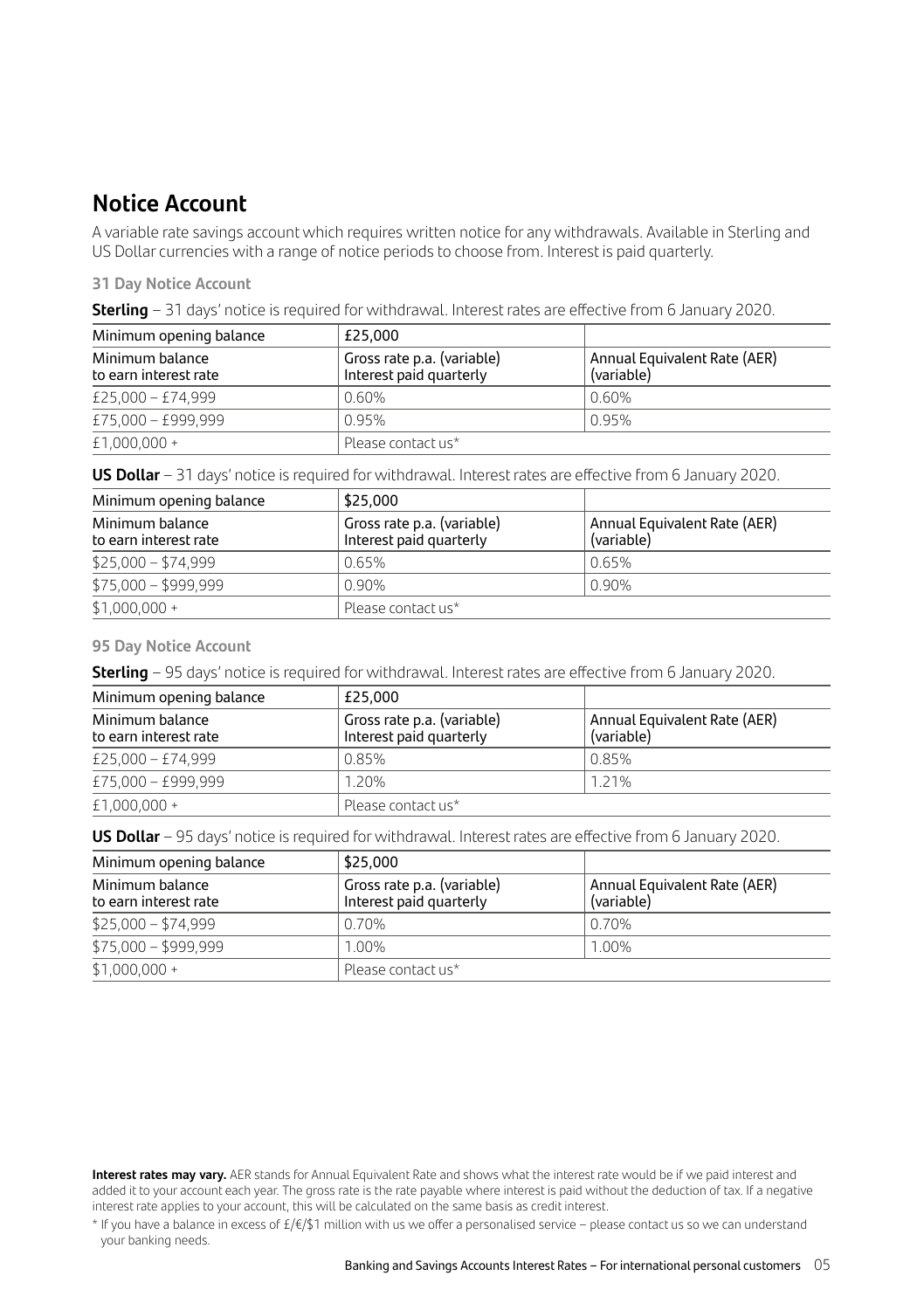## **Notice Account**

A variable rate savings account which requires written notice for any withdrawals. Available in Sterling and US Dollar currencies with a range of notice periods to choose from. Interest is paid quarterly.

#### **31 Day Notice Account**

| Minimum opening balance                  | £25.000                                               |                                            |
|------------------------------------------|-------------------------------------------------------|--------------------------------------------|
| Minimum balance<br>to earn interest rate | Gross rate p.a. (variable)<br>Interest paid quarterly | Annual Equivalent Rate (AER)<br>(variable) |
| £25,000 - £74,999                        | $0.60\%$                                              | 0.60%                                      |
| £75,000 - £999,999                       | 0.95%                                                 | 0.95%                                      |
| £1,000,000 +                             | Please contact us*                                    |                                            |

**US Dollar** – 31 days' notice is required for withdrawal. Interest rates are effective from 6 January 2020.

| Minimum opening balance                  | \$25,000                                              |                                            |
|------------------------------------------|-------------------------------------------------------|--------------------------------------------|
| Minimum balance<br>to earn interest rate | Gross rate p.a. (variable)<br>Interest paid quarterly | Annual Equivalent Rate (AER)<br>(variable) |
| $$25,000 - $74,999$                      | 0.65%                                                 | 0.65%                                      |
| $$75,000 - $999,999$                     | $0.90\%$                                              | 0.90%                                      |
| $$1,000,000 +$                           | Please contact us*                                    |                                            |

#### **95 Day Notice Account**

**Sterling** – 95 days' notice is required for withdrawal. Interest rates are effective from 6 January 2020.

| Minimum opening balance                  | £25.000                                               |                                            |
|------------------------------------------|-------------------------------------------------------|--------------------------------------------|
| Minimum balance<br>to earn interest rate | Gross rate p.a. (variable)<br>Interest paid quarterly | Annual Equivalent Rate (AER)<br>(variable) |
| £25,000 - £74,999                        | 0.85%                                                 | 0.85%                                      |
| £75,000 - £999,999                       | 1.20%                                                 | 1.21%                                      |
| £1,000,000 +                             | Please contact us*                                    |                                            |

**US Dollar** – 95 days' notice is required for withdrawal. Interest rates are effective from 6 January 2020.

| Minimum opening balance                  | \$25,000                                              |                                            |
|------------------------------------------|-------------------------------------------------------|--------------------------------------------|
| Minimum balance<br>to earn interest rate | Gross rate p.a. (variable)<br>Interest paid quarterly | Annual Equivalent Rate (AER)<br>(variable) |
| $$25,000 - $74,999$                      | 0.70%                                                 | 0.70%                                      |
| $$75,000 - $999,999$                     | 1.00%                                                 | 1.00%                                      |
| $$1,000,000 +$                           | Please contact us*                                    |                                            |

**Interest rates may vary.** AER stands for Annual Equivalent Rate and shows what the interest rate would be if we paid interest and added it to your account each year. The gross rate is the rate payable where interest is paid without the deduction of tax. If a negative interest rate applies to your account, this will be calculated on the same basis as credit interest.

\* If you have a balance in excess of £/€/\$1 million with us we offer a personalised service – please contact us so we can understand your banking needs.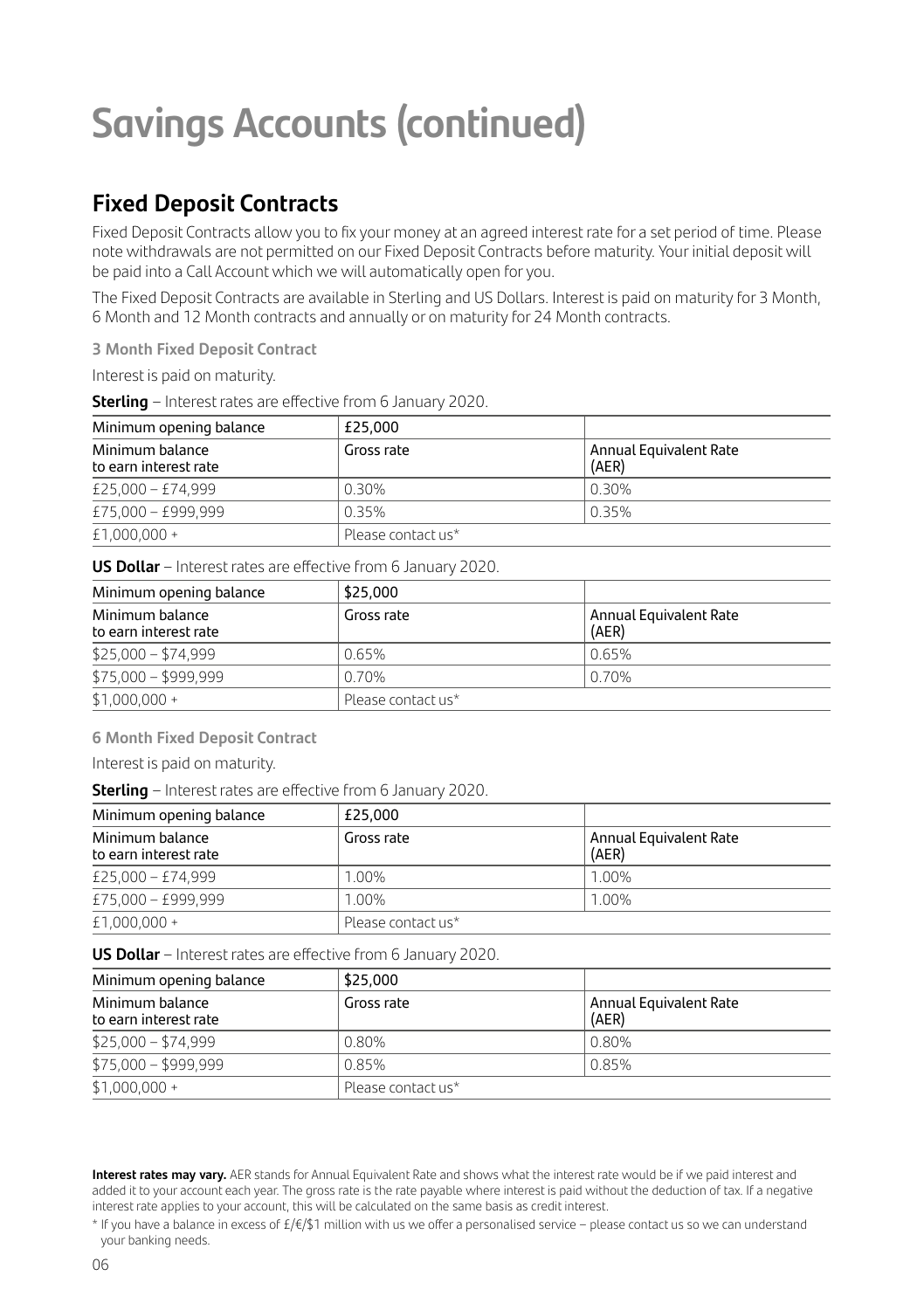## **Savings Accounts (continued)**

## **Fixed Deposit Contracts**

Fixed Deposit Contracts allow you to fix your money at an agreed interest rate for a set period of time. Please note withdrawals are not permitted on our Fixed Deposit Contracts before maturity. Your initial deposit will be paid into a Call Account which we will automatically open for you.

The Fixed Deposit Contracts are available in Sterling and US Dollars. Interest is paid on maturity for 3 Month, 6 Month and 12 Month contracts and annually or on maturity for 24 Month contracts.

**3 Month Fixed Deposit Contract** 

Interest is paid on maturity.

**Sterling** – Interest rates are effective from 6 January 2020.

| Minimum opening balance                  | £25.000            |                                 |
|------------------------------------------|--------------------|---------------------------------|
| Minimum balance<br>to earn interest rate | Gross rate         | Annual Equivalent Rate<br>(AER) |
| £25,000 - £74,999                        | 0.30%              | 0.30%                           |
| £75,000 - £999,999                       | 0.35%              | 0.35%                           |
| £1,000,000 +                             | Please contact us* |                                 |

**US Dollar** – Interest rates are effective from 6 January 2020.

| Minimum opening balance                  | \$25,000           |                                 |  |
|------------------------------------------|--------------------|---------------------------------|--|
| Minimum balance<br>to earn interest rate | Gross rate         | Annual Equivalent Rate<br>(AER) |  |
| $$25,000 - $74,999$                      | 0.65%              | 0.65%                           |  |
| $$75,000 - $999,999$                     | 0.70%              | 0.70%                           |  |
| $$1,000,000 +$                           | Please contact us* |                                 |  |

**6 Month Fixed Deposit Contract** 

Interest is paid on maturity.

**Sterling** – Interest rates are effective from 6 January 2020.

| Minimum opening balance                  | £25.000            |                                 |  |
|------------------------------------------|--------------------|---------------------------------|--|
| Minimum balance<br>to earn interest rate | Gross rate         | Annual Equivalent Rate<br>(AER) |  |
| £25,000 - £74,999                        | 1.00%              | 1.00%                           |  |
| £75,000 - £999,999                       | 1.00%              | 1.00%                           |  |
| £1,000,000 +                             | Please contact us* |                                 |  |

**US Dollar** – Interest rates are effective from 6 January 2020.

| Minimum opening balance                  | \$25,000           |                                 |  |
|------------------------------------------|--------------------|---------------------------------|--|
| Minimum balance<br>to earn interest rate | Gross rate         | Annual Equivalent Rate<br>(AER) |  |
| $$25,000 - $74,999$                      | 0.80%              | 0.80%                           |  |
| $$75,000 - $999,999$                     | 0.85%              | 0.85%                           |  |
| $$1,000,000 +$                           | Please contact us* |                                 |  |

**Interest rates may vary.** AER stands for Annual Equivalent Rate and shows what the interest rate would be if we paid interest and added it to your account each year. The gross rate is the rate payable where interest is paid without the deduction of tax. If a negative interest rate applies to your account, this will be calculated on the same basis as credit interest.

<sup>\*</sup> If you have a balance in excess of £/€/\$1 million with us we offer a personalised service – please contact us so we can understand your banking needs.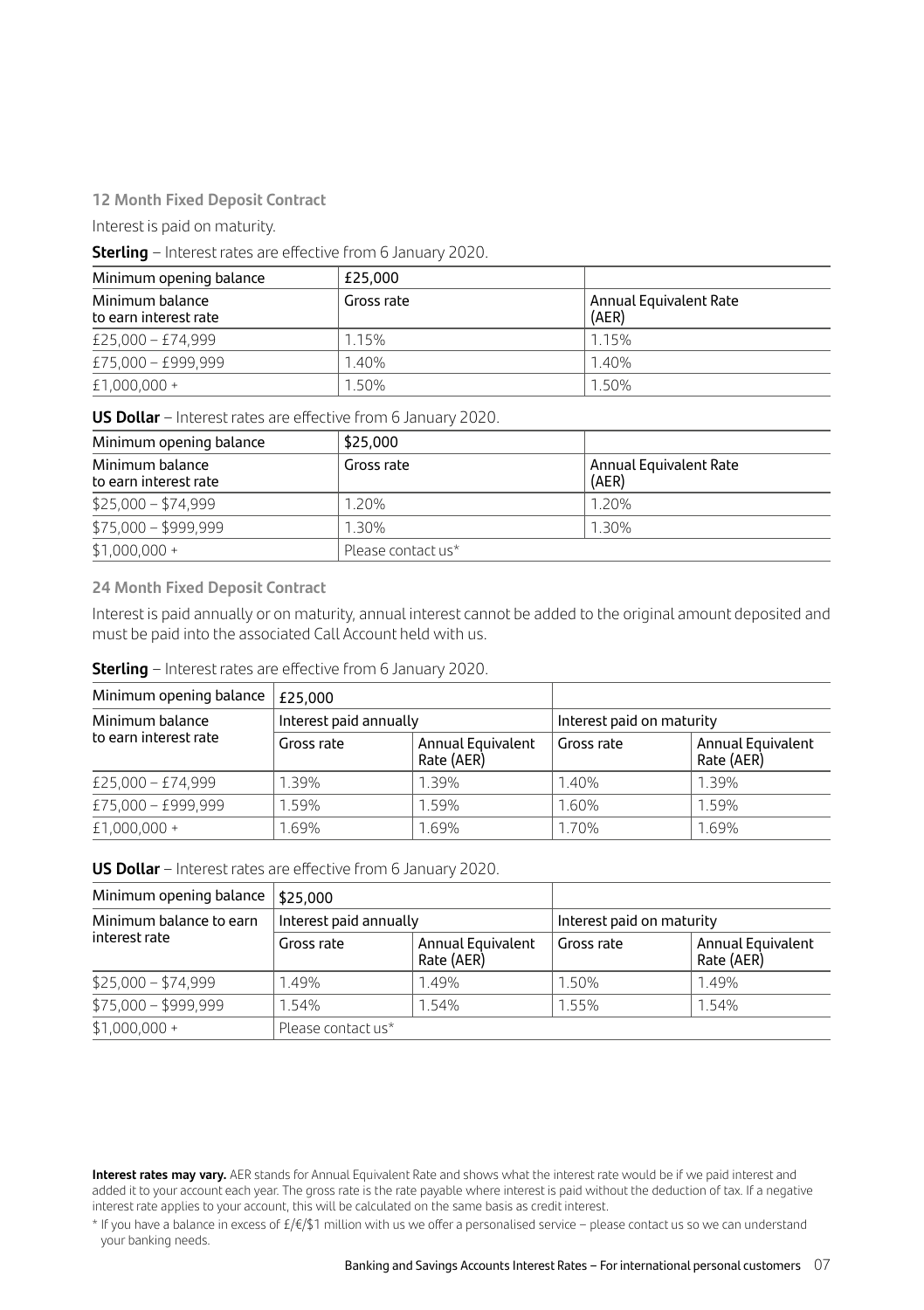#### **12 Month Fixed Deposit Contract**

Interest is paid on maturity.

### **Sterling** – Interest rates are effective from 6 January 2020.

| Minimum opening balance                  | £25.000    |                                 |  |
|------------------------------------------|------------|---------------------------------|--|
| Minimum balance<br>to earn interest rate | Gross rate | Annual Equivalent Rate<br>(AER) |  |
| £25,000 - £74,999                        | 1.15%      | 1.15%                           |  |
| £75,000 - £999,999                       | 1.40%      | 1.40%                           |  |
| $£1,000,000+$                            | 1.50%      | 1.50%                           |  |

#### **US Dollar** – Interest rates are effective from 6 January 2020.

| Minimum opening balance                  | \$25,000           |                                 |  |
|------------------------------------------|--------------------|---------------------------------|--|
| Minimum balance<br>to earn interest rate | Gross rate         | Annual Equivalent Rate<br>(AER) |  |
| $$25,000 - $74,999$                      | 1.20%              | 1.20%                           |  |
| $$75,000 - $999,999$                     | 1.30%              | 1.30%                           |  |
| $$1,000,000 +$                           | Please contact us* |                                 |  |

#### **24 Month Fixed Deposit Contract**

Interest is paid annually or on maturity, annual interest cannot be added to the original amount deposited and must be paid into the associated Call Account held with us.

### **Sterling** – Interest rates are effective from 6 January 2020.

| Minimum opening balance                  | £25.000                |                                 |                           |                                        |
|------------------------------------------|------------------------|---------------------------------|---------------------------|----------------------------------------|
| Minimum balance<br>to earn interest rate | Interest paid annually |                                 | Interest paid on maturity |                                        |
|                                          | Gross rate             | Annual Equivalent<br>Rate (AER) | Gross rate                | <b>Annual Equivalent</b><br>Rate (AER) |
| £25,000 - £74,999                        | 1.39%                  | 1.39%                           | 1.40%                     | 1.39%                                  |
| £75,000 - £999,999                       | 1.59%                  | 1.59%                           | 1.60%                     | 1.59%                                  |
| £1,000,000 +                             | 1.69%                  | 1.69%                           | 1.70%                     | 1.69%                                  |

#### **US Dollar** – Interest rates are effective from 6 January 2020.

| Minimum opening balance                  | \$25,000               |                                 |                           |                                        |
|------------------------------------------|------------------------|---------------------------------|---------------------------|----------------------------------------|
| Minimum balance to earn<br>interest rate | Interest paid annually |                                 | Interest paid on maturity |                                        |
|                                          | Gross rate             | Annual Equivalent<br>Rate (AER) | Gross rate                | <b>Annual Equivalent</b><br>Rate (AER) |
| $$25,000 - $74,999$                      | 1.49%                  | 1.49%                           | 1.50%                     | 1.49%                                  |
| $$75,000 - $999,999$                     | 1.54%                  | 1.54%                           | 1.55%                     | 1.54%                                  |
| $$1,000,000 +$                           | Please contact us*     |                                 |                           |                                        |

**Interest rates may vary.** AER stands for Annual Equivalent Rate and shows what the interest rate would be if we paid interest and added it to your account each year. The gross rate is the rate payable where interest is paid without the deduction of tax. If a negative interest rate applies to your account, this will be calculated on the same basis as credit interest.

\* If you have a balance in excess of £/€/\$1 million with us we offer a personalised service – please contact us so we can understand your banking needs.